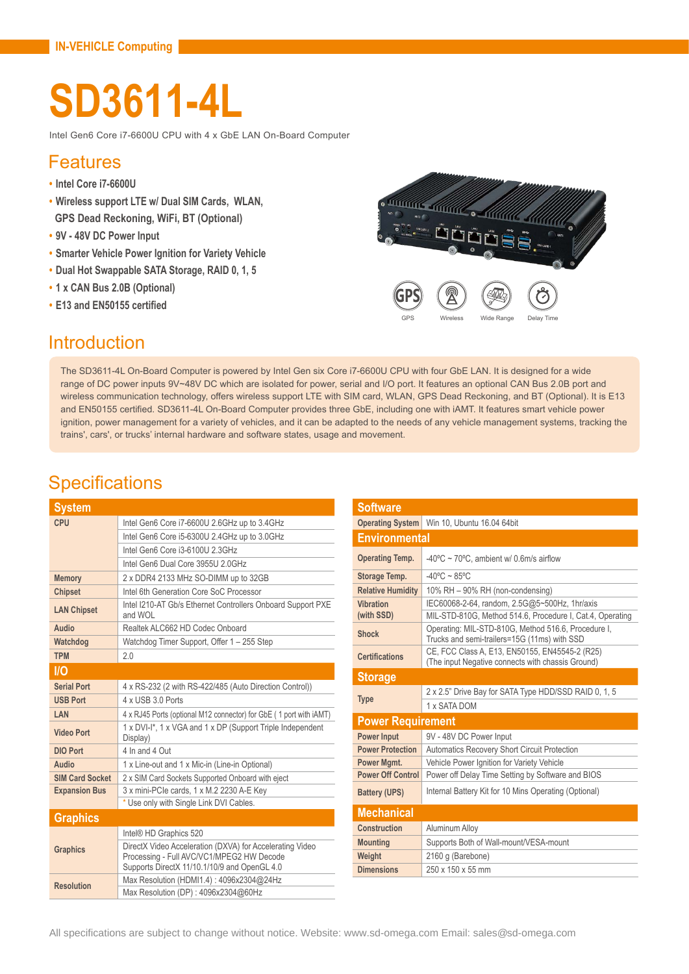# **SD3611-4L**

Intel Gen6 Core i7-6600U CPU with 4 x GbE LAN On-Board Computer

#### Features

- **• Intel Core i7-6600U**
- **• Wireless support LTE w/ Dual SIM Cards, WLAN, GPS Dead Reckoning, WiFi, BT (Optional)**
- **• 9V 48V DC Power Input**
- **• Smarter Vehicle Power Ignition for Variety Vehicle**
- **• Dual Hot Swappable SATA Storage, RAID 0, 1, 5**
- **• 1 x CAN Bus 2.0B (Optional)**
- **• E13 and EN50155 certified**

#### Introduction



The SD3611-4L On-Board Computer is powered by Intel Gen six Core i7-6600U CPU with four GbE LAN. It is designed for a wide range of DC power inputs 9V~48V DC which are isolated for power, serial and I/O port. It features an optional CAN Bus 2.0B port and wireless communication technology, offers wireless support LTE with SIM card, WLAN, GPS Dead Reckoning, and BT (Optional). It is E13 and EN50155 certified. SD3611-4L On-Board Computer provides three GbE, including one with iAMT. It features smart vehicle power ignition, power management for a variety of vehicles, and it can be adapted to the needs of any vehicle management systems, tracking the trains', cars', or trucks' internal hardware and software states, usage and movement.

### **Specifications**

| <b>System</b>          |                                                                                                                                                       |
|------------------------|-------------------------------------------------------------------------------------------------------------------------------------------------------|
| CPU                    | Intel Gen6 Core i7-6600U 2.6GHz up to 3.4GHz                                                                                                          |
|                        | Intel Gen6 Core i5-6300U 2.4GHz up to 3.0GHz                                                                                                          |
|                        | Intel Gen6 Core i3-6100U 2.3GHz                                                                                                                       |
|                        | Intel Gen6 Dual Core 3955U 2.0GHz                                                                                                                     |
| <b>Memory</b>          | 2 x DDR4 2133 MHz SO-DIMM up to 32GB                                                                                                                  |
| <b>Chipset</b>         | Intel 6th Generation Core SoC Processor                                                                                                               |
| <b>LAN Chipset</b>     | Intel I210-AT Gb/s Ethernet Controllers Onboard Support PXE<br>and WOL                                                                                |
| Audio                  | Realtek ALC662 HD Codec Onboard                                                                                                                       |
| Watchdog               | Watchdog Timer Support, Offer 1 - 255 Step                                                                                                            |
| <b>TPM</b>             | 2.0                                                                                                                                                   |
| <b>I/O</b>             |                                                                                                                                                       |
| <b>Serial Port</b>     | 4 x RS-232 (2 with RS-422/485 (Auto Direction Control))                                                                                               |
| <b>USB Port</b>        | 4 x USB 3 0 Ports                                                                                                                                     |
| LAN                    | 4 x RJ45 Ports (optional M12 connector) for GbE (1 port with iAMT)                                                                                    |
| <b>Video Port</b>      | 1 x DVI-I*, 1 x VGA and 1 x DP (Support Triple Independent<br>Display)                                                                                |
| <b>DIO Port</b>        | 4 In and 4 Out                                                                                                                                        |
| Audio                  | 1 x Line-out and 1 x Mic-in (Line-in Optional)                                                                                                        |
| <b>SIM Card Socket</b> | 2 x SIM Card Sockets Supported Onboard with eject                                                                                                     |
| <b>Expansion Bus</b>   | 3 x mini-PCIe cards, 1 x M.2 2230 A-E Key                                                                                                             |
|                        | * Use only with Single Link DVI Cables.                                                                                                               |
| <b>Graphics</b>        |                                                                                                                                                       |
|                        | Intel <sup>®</sup> HD Graphics 520                                                                                                                    |
| <b>Graphics</b>        | DirectX Video Acceleration (DXVA) for Accelerating Video<br>Processing - Full AVC/VC1/MPEG2 HW Decode<br>Supports DirectX 11/10.1/10/9 and OpenGL 4.0 |
| <b>Resolution</b>      | Max Resolution (HDMI1.4): 4096x2304@24Hz                                                                                                              |
|                        | Max Resolution (DP): 4096x2304@60Hz                                                                                                                   |

| <b>Software</b>          |                                                                                                     |  |
|--------------------------|-----------------------------------------------------------------------------------------------------|--|
| <b>Operating System</b>  | Win 10, Ubuntu 16.04 64bit                                                                          |  |
| <b>Environmental</b>     |                                                                                                     |  |
| <b>Operating Temp.</b>   | $-40^{\circ}$ C ~ 70 $^{\circ}$ C, ambient w/ 0.6m/s airflow                                        |  |
| Storage Temp.            | $-40^{\circ}$ C ~ 85°C                                                                              |  |
| <b>Relative Humidity</b> | 10% RH - 90% RH (non-condensing)                                                                    |  |
| <b>Vibration</b>         | IEC60068-2-64, random, 2.5G@5~500Hz, 1hr/axis                                                       |  |
| (with SSD)               | MIL-STD-810G, Method 514.6, Procedure I, Cat.4, Operating                                           |  |
| <b>Shock</b>             | Operating: MIL-STD-810G, Method 516.6, Procedure I,<br>Trucks and semi-trailers=15G (11ms) with SSD |  |
| <b>Certifications</b>    | CE, FCC Class A, E13, EN50155, EN45545-2 (R25)<br>(The input Negative connects with chassis Ground) |  |
| <b>Storage</b>           |                                                                                                     |  |
|                          | 2 x 2.5" Drive Bay for SATA Type HDD/SSD RAID 0, 1, 5                                               |  |
| <b>Type</b>              | 1 x SATA DOM                                                                                        |  |
| <b>Power Requirement</b> |                                                                                                     |  |
| <b>Power Input</b>       | 9V - 48V DC Power Input                                                                             |  |
| <b>Power Protection</b>  | <b>Automatics Recovery Short Circuit Protection</b>                                                 |  |
| Power Mgmt.              | Vehicle Power Ignition for Variety Vehicle                                                          |  |
| <b>Power Off Control</b> | Power off Delay Time Setting by Software and BIOS                                                   |  |
| <b>Battery (UPS)</b>     | Internal Battery Kit for 10 Mins Operating (Optional)                                               |  |
| <b>Mechanical</b>        |                                                                                                     |  |
| Construction             | Aluminum Alloy                                                                                      |  |
| <b>Mounting</b>          | Supports Both of Wall-mount/VESA-mount                                                              |  |
| Weight                   | 2160 g (Barebone)                                                                                   |  |
| <b>Dimensions</b>        | 250 x 150 x 55 mm                                                                                   |  |